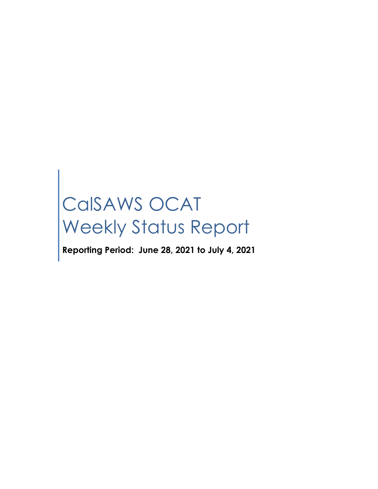# CalSAWS OCAT Weekly Status Report

**Reporting Period: June 28, 2021 to July 4, 2021**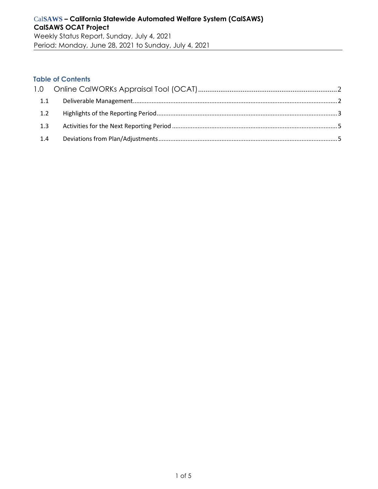Period: Monday, June 28, 2021 to Sunday, July 4, 2021

#### **Table of Contents**

| 1.1 |  |
|-----|--|
|     |  |
| 1.3 |  |
| 1.4 |  |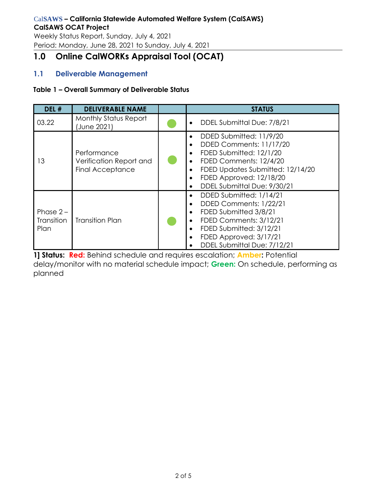Weekly Status Report, Sunday, July 4, 2021 Period: Monday, June 28, 2021 to Sunday, July 4, 2021

# <span id="page-2-0"></span>**1.0 Online CalWORKs Appraisal Tool (OCAT)**

# <span id="page-2-1"></span>**1.1 Deliverable Management**

#### **Table 1 – Overall Summary of Deliverable Status**

| DEL #                                    | <b>DELIVERABLE NAME</b>                                           | <b>STATUS</b>                                                                                                                                                                                                                                                                                    |
|------------------------------------------|-------------------------------------------------------------------|--------------------------------------------------------------------------------------------------------------------------------------------------------------------------------------------------------------------------------------------------------------------------------------------------|
| 03.22                                    | <b>Monthly Status Report</b><br>(June 2021)                       | DDEL Submittal Due: 7/8/21<br>$\bullet$                                                                                                                                                                                                                                                          |
| 13                                       | Performance<br>Verification Report and<br><b>Final Acceptance</b> | DDED Submitted: 11/9/20<br>$\bullet$<br>DDED Comments: 11/17/20<br>$\bullet$<br>FDED Submitted: 12/1/20<br>$\bullet$<br>FDED Comments: 12/4/20<br>$\bullet$<br>FDED Updates Submitted: 12/14/20<br>$\bullet$<br>FDED Approved: 12/18/20<br>$\bullet$<br>DDEL Submittal Due: 9/30/21<br>$\bullet$ |
| Phase $2 -$<br><b>Transition</b><br>Plan | <b>Transition Plan</b>                                            | DDED Submitted: 1/14/21<br>$\bullet$<br>DDED Comments: 1/22/21<br>$\bullet$<br>FDED Submitted 3/8/21<br>$\bullet$<br>FDED Comments: 3/12/21<br>$\bullet$<br>FDED Submitted: 3/12/21<br>$\bullet$<br>FDED Approved: 3/17/21<br>$\bullet$<br>DDEL Submittal Due: 7/12/21                           |

**1] Status: Red:** Behind schedule and requires escalation; **Amber:** Potential delay/monitor with no material schedule impact; **Green:** On schedule, performing as planned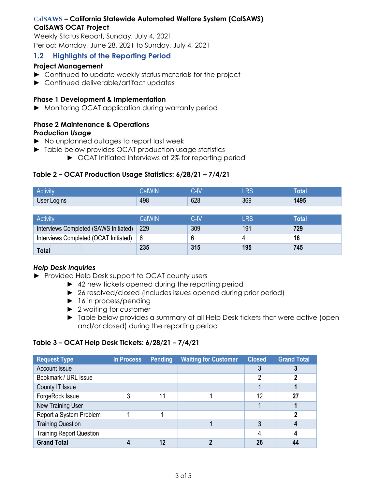Weekly Status Report, Sunday, July 4, 2021 Period: Monday, June 28, 2021 to Sunday, July 4, 2021

# <span id="page-3-0"></span>**1.2 Highlights of the Reporting Period**

#### **Project Management**

- ► Continued to update weekly status materials for the project
- ► Continued deliverable/artifact updates

#### **Phase 1 Development & Implementation**

► Monitoring OCAT application during warranty period

#### **Phase 2 Maintenance & Operations** *Production Usage*

- ► No unplanned outages to report last week
- ► Table below provides OCAT production usage statistics
	- ► OCAT Initiated Interviews at 2% for reporting period

#### **Table 2 – OCAT Production Usage Statistics: 6/28/21 – 7/4/21**

| <b>Activity</b> |     | $\mathbf{R}$<br>- 1 | DC<br>- 170 | btal |
|-----------------|-----|---------------------|-------------|------|
| User Logins     | 498 | 628                 | 369         | 1495 |
|                 |     |                     |             |      |

| <b>Activity</b>                       | CalWIN | C-IV | $\mathop{\mathsf{RS}}$ | Total |
|---------------------------------------|--------|------|------------------------|-------|
| Interviews Completed (SAWS Initiated) | 229    | 309  | 191                    | 729   |
| Interviews Completed (OCAT Initiated) | -6     |      |                        | 16    |
| <b>Total</b>                          | 235    | 315  | 195                    | 745   |

#### *Help Desk Inquiries*

- ► Provided Help Desk support to OCAT county users
	- ► 42 new tickets opened during the reporting period
	- ► 26 resolved/closed (includes issues opened during prior period)
	- ► 16 in process/pending
	- ► 2 waiting for customer
	- ► Table below provides a summary of all Help Desk tickets that were active (open and/or closed) during the reporting period

#### **Table 3 – OCAT Help Desk Tickets: 6/28/21 – 7/4/21**

| <b>Request Type</b>             | <b>In Process</b> | Pending | <b>Waiting for Customer</b> | <b>Closed</b> | <b>Grand Total</b> |
|---------------------------------|-------------------|---------|-----------------------------|---------------|--------------------|
| Account Issue                   |                   |         |                             |               |                    |
| Bookmark / URL Issue            |                   |         |                             | 2             |                    |
| County IT Issue                 |                   |         |                             |               |                    |
| ForgeRock Issue                 |                   | 11      |                             | 12            | 27                 |
| New Training User               |                   |         |                             |               |                    |
| Report a System Problem         |                   |         |                             |               |                    |
| <b>Training Question</b>        |                   |         |                             | 3             |                    |
| <b>Training Report Question</b> |                   |         |                             |               |                    |
| <b>Grand Total</b>              |                   | 12      |                             | 26            |                    |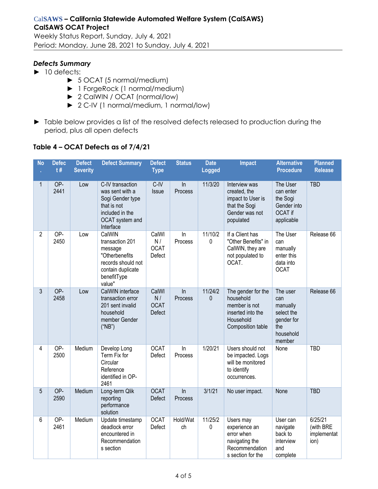Weekly Status Report, Sunday, July 4, 2021 Period: Monday, June 28, 2021 to Sunday, July 4, 2021

#### *Defects Summary*

- ► 10 defects:
	- ► 5 OCAT (5 normal/medium)
	- ► 1 ForgeRock (1 normal/medium)
	- ► 2 CalWIN / OCAT (normal/low)
	- ► 2 C-IV (1 normal/medium, 1 normal/low)
- ► Table below provides a list of the resolved defects released to production during the period, plus all open defects

#### **Table 4 – OCAT Defects as of 7/4/21**

| <b>No</b>      | <b>Defec</b><br>t# | <b>Defect</b><br><b>Severity</b> | <b>Defect Summary</b>                                                                                                      | <b>Defect</b><br><b>Type</b>                | <b>Status</b>           | <b>Date</b><br><b>Logged</b> | <b>Impact</b>                                                                                           | <b>Alternative</b><br><b>Procedure</b>                                                | <b>Planned</b><br><b>Release</b>            |
|----------------|--------------------|----------------------------------|----------------------------------------------------------------------------------------------------------------------------|---------------------------------------------|-------------------------|------------------------------|---------------------------------------------------------------------------------------------------------|---------------------------------------------------------------------------------------|---------------------------------------------|
| 1              | OP-<br>2441        | Low                              | C-IV transaction<br>was sent with a<br>Sogi Gender type<br>that is not<br>included in the<br>OCAT system and<br>Interface  | $C$ -IV<br>Issue                            | ln<br>Process           | 11/3/20                      | Interview was<br>created, the<br>impact to User is<br>that the Sogi<br>Gender was not<br>populated      | The User<br>can enter<br>the Sogi<br>Gender into<br>OCAT if<br>applicable             | <b>TBD</b>                                  |
| $\overline{2}$ | OP-<br>2450        | Low                              | CalWIN<br>transaction 201<br>message<br>"Otherbenefits<br>records should not<br>contain duplicate<br>benefitType<br>value" | CalWI<br>N/<br><b>OCAT</b><br>Defect        | In<br>Process           | 11/10/2<br>0                 | If a Client has<br>"Other Benefits" in<br>CalWIN, they are<br>not populated to<br>OCAT.                 | The User<br>can<br>manually<br>enter this<br>data into<br><b>OCAT</b>                 | Release 66                                  |
| $\overline{3}$ | OP-<br>2458        | Low                              | CalWIN interface<br>transaction error<br>201 sent invalid<br>household<br>member Gender<br>("NB")                          | CalWI<br>N/<br><b>OCAT</b><br><b>Defect</b> | $\ln$<br><b>Process</b> | 11/24/2<br>$\mathbf{0}$      | The gender for the<br>household<br>member is not<br>inserted into the<br>Household<br>Composition table | The user<br>can<br>manually<br>select the<br>gender for<br>the<br>household<br>member | Release 66                                  |
| 4              | OP-<br>2500        | Medium                           | Develop Long<br>Term Fix for<br>Circular<br>Reference<br>identified in OP-<br>2461                                         | <b>OCAT</b><br>Defect                       | $\ln$<br>Process        | 1/20/21                      | Users should not<br>be impacted. Logs<br>will be monitored<br>to identify<br>occurrences.               | None                                                                                  | <b>TBD</b>                                  |
| 5              | OP-<br>2590        | Medium                           | Long-term Qlik<br>reporting<br>performance<br>solution                                                                     | <b>OCAT</b><br>Defect                       | $\ln$<br>Process        | 3/1/21                       | No user impact.                                                                                         | None                                                                                  | <b>TBD</b>                                  |
| 6              | OP-<br>2461        | Medium                           | Update timestamp<br>deadlock error<br>encountered in<br>Recommendation<br>s section                                        | <b>OCAT</b><br>Defect                       | Hold/Wat<br>ch          | 11/25/2<br>$\pmb{0}$         | Users may<br>experience an<br>error when<br>navigating the<br>Recommendation<br>s section for the       | User can<br>navigate<br>back to<br>interview<br>and<br>complete                       | 6/25/21<br>(with BRE<br>implementat<br>ion) |